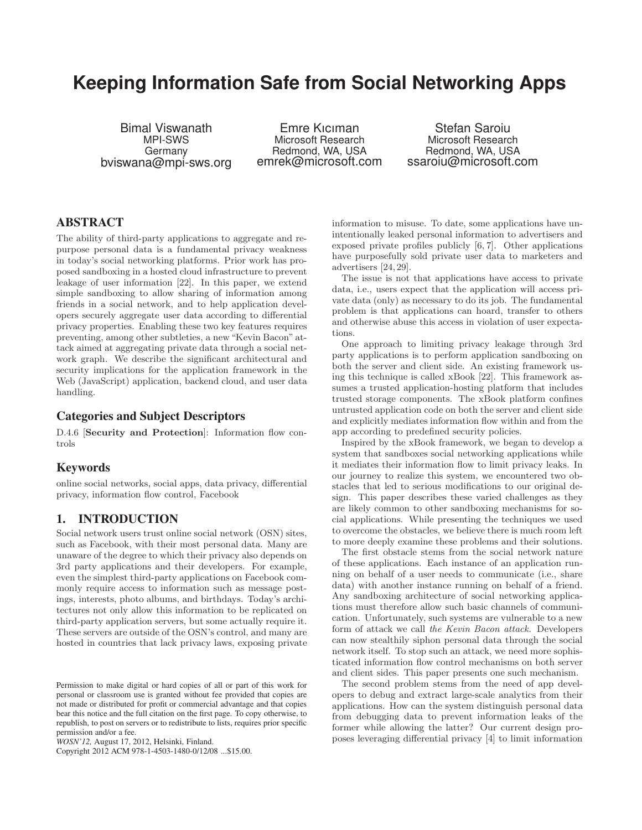# **Keeping Information Safe from Social Networking Apps**

Bimal Viswanath MPI-SWS Germany bviswana@mpi-sws.org

Emre Kıcıman Microsoft Research Redmond, WA, USA emrek@microsoft.com

Stefan Saroiu Microsoft Research Redmond, WA, USA ssaroiu@microsoft.com

# **ABSTRACT**

The ability of third-party applications to aggregate and repurpose personal data is a fundamental privacy weakness in today's social networking platforms. Prior work has proposed sandboxing in a hosted cloud infrastructure to prevent leakage of user information [22]. In this paper, we extend simple sandboxing to allow sharing of information among friends in a social network, and to help application developers securely aggregate user data according to differential privacy properties. Enabling these two key features requires preventing, among other subtleties, a new "Kevin Bacon" attack aimed at aggregating private data through a social network graph. We describe the significant architectural and security implications for the application framework in the Web (JavaScript) application, backend cloud, and user data handling.

## **Categories and Subject Descriptors**

D.4.6 [Security and Protection]: Information flow controls

### **Keywords**

online social networks, social apps, data privacy, differential privacy, information flow control, Facebook

# **1. INTRODUCTION**

Social network users trust online social network (OSN) sites, such as Facebook, with their most personal data. Many are unaware of the degree to which their privacy also depends on 3rd party applications and their developers. For example, even the simplest third-party applications on Facebook commonly require access to information such as message postings, interests, photo albums, and birthdays. Today's architectures not only allow this information to be replicated on third-party application servers, but some actually require it. These servers are outside of the OSN's control, and many are hosted in countries that lack privacy laws, exposing private

Copyright 2012 ACM 978-1-4503-1480-0/12/08 ...\$15.00.

information to misuse. To date, some applications have unintentionally leaked personal information to advertisers and exposed private profiles publicly [6, 7]. Other applications have purposefully sold private user data to marketers and advertisers [24, 29].

The issue is not that applications have access to private data, i.e., users expect that the application will access private data (only) as necessary to do its job. The fundamental problem is that applications can hoard, transfer to others and otherwise abuse this access in violation of user expectations.

One approach to limiting privacy leakage through 3rd party applications is to perform application sandboxing on both the server and client side. An existing framework using this technique is called xBook [22]. This framework assumes a trusted application-hosting platform that includes trusted storage components. The xBook platform confines untrusted application code on both the server and client side and explicitly mediates information flow within and from the app according to predefined security policies.

Inspired by the xBook framework, we began to develop a system that sandboxes social networking applications while it mediates their information flow to limit privacy leaks. In our journey to realize this system, we encountered two obstacles that led to serious modifications to our original design. This paper describes these varied challenges as they are likely common to other sandboxing mechanisms for social applications. While presenting the techniques we used to overcome the obstacles, we believe there is much room left to more deeply examine these problems and their solutions.

The first obstacle stems from the social network nature of these applications. Each instance of an application running on behalf of a user needs to communicate (i.e., share data) with another instance running on behalf of a friend. Any sandboxing architecture of social networking applications must therefore allow such basic channels of communication. Unfortunately, such systems are vulnerable to a new form of attack we call the Kevin Bacon attack. Developers can now stealthily siphon personal data through the social network itself. To stop such an attack, we need more sophisticated information flow control mechanisms on both server and client sides. This paper presents one such mechanism.

The second problem stems from the need of app developers to debug and extract large-scale analytics from their applications. How can the system distinguish personal data from debugging data to prevent information leaks of the former while allowing the latter? Our current design proposes leveraging differential privacy [4] to limit information

Permission to make digital or hard copies of all or part of this work for personal or classroom use is granted without fee provided that copies are not made or distributed for profit or commercial advantage and that copies bear this notice and the full citation on the first page. To copy otherwise, to republish, to post on servers or to redistribute to lists, requires prior specific permission and/or a fee.

*WOSN'12,* August 17, 2012, Helsinki, Finland.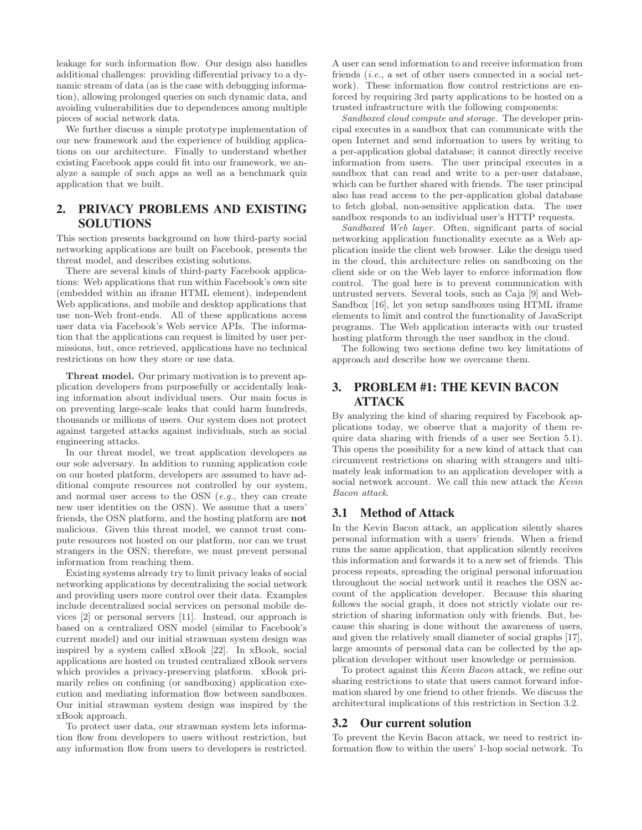leakage for such information flow. Our design also handles additional challenges: providing differential privacy to a dynamic stream of data (as is the case with debugging information), allowing prolonged queries on such dynamic data, and avoiding vulnerabilities due to dependences among multiple pieces of social network data.

We further discuss a simple prototype implementation of our new framework and the experience of building applications on our architecture. Finally to understand whether existing Facebook apps could fit into our framework, we analyze a sample of such apps as well as a benchmark quiz application that we built.

# **2. PRIVACY PROBLEMS AND EXISTING SOLUTIONS**

This section presents background on how third-party social networking applications are built on Facebook, presents the threat model, and describes existing solutions.

There are several kinds of third-party Facebook applications: Web applications that run within Facebook's own site (embedded within an iframe HTML element), independent Web applications, and mobile and desktop applications that use non-Web front-ends. All of these applications access user data via Facebook's Web service APIs. The information that the applications can request is limited by user permissions, but, once retrieved, applications have no technical restrictions on how they store or use data.

Threat model. Our primary motivation is to prevent application developers from purposefully or accidentally leaking information about individual users. Our main focus is on preventing large-scale leaks that could harm hundreds, thousands or millions of users. Our system does not protect against targeted attacks against individuals, such as social engineering attacks.

In our threat model, we treat application developers as our sole adversary. In addition to running application code on our hosted platform, developers are assumed to have additional compute resources not controlled by our system, and normal user access to the OSN (e.g., they can create new user identities on the OSN). We assume that a users' friends, the OSN platform, and the hosting platform are not malicious. Given this threat model, we cannot trust compute resources not hosted on our platform, nor can we trust strangers in the OSN; therefore, we must prevent personal information from reaching them.

Existing systems already try to limit privacy leaks of social networking applications by decentralizing the social network and providing users more control over their data. Examples include decentralized social services on personal mobile devices [2] or personal servers [11]. Instead, our approach is based on a centralized OSN model (similar to Facebook's current model) and our initial strawman system design was inspired by a system called xBook [22]. In xBook, social applications are hosted on trusted centralized xBook servers which provides a privacy-preserving platform. xBook primarily relies on confining (or sandboxing) application execution and mediating information flow between sandboxes. Our initial strawman system design was inspired by the xBook approach.

To protect user data, our strawman system lets information flow from developers to users without restriction, but any information flow from users to developers is restricted. A user can send information to and receive information from friends *(i.e., a set of other users connected in a social net*work). These information flow control restrictions are enforced by requiring 3rd party applications to be hosted on a trusted infrastructure with the following components:

Sandboxed cloud compute and storage. The developer principal executes in a sandbox that can communicate with the open Internet and send information to users by writing to a per-application global database; it cannot directly receive information from users. The user principal executes in a sandbox that can read and write to a per-user database, which can be further shared with friends. The user principal also has read access to the per-application global database to fetch global, non-sensitive application data. The user sandbox responds to an individual user's HTTP requests.

Sandboxed Web layer. Often, significant parts of social networking application functionality execute as a Web application inside the client web browser. Like the design used in the cloud, this architecture relies on sandboxing on the client side or on the Web layer to enforce information flow control. The goal here is to prevent communication with untrusted servers. Several tools, such as Caja [9] and Web-Sandbox [16], let you setup sandboxes using HTML iframe elements to limit and control the functionality of JavaScript programs. The Web application interacts with our trusted hosting platform through the user sandbox in the cloud.

The following two sections define two key limitations of approach and describe how we overcame them.

# **3. PROBLEM #1: THE KEVIN BACON ATTACK**

By analyzing the kind of sharing required by Facebook applications today, we observe that a majority of them require data sharing with friends of a user see Section 5.1). This opens the possibility for a new kind of attack that can circumvent restrictions on sharing with strangers and ultimately leak information to an application developer with a social network account. We call this new attack the Kevin Bacon attack.

#### **3.1 Method of Attack**

In the Kevin Bacon attack, an application silently shares personal information with a users' friends. When a friend runs the same application, that application silently receives this information and forwards it to a new set of friends. This process repeats, spreading the original personal information throughout the social network until it reaches the OSN account of the application developer. Because this sharing follows the social graph, it does not strictly violate our restriction of sharing information only with friends. But, because this sharing is done without the awareness of users, and given the relatively small diameter of social graphs [17], large amounts of personal data can be collected by the application developer without user knowledge or permission.

To protect against this Kevin Bacon attack, we refine our sharing restrictions to state that users cannot forward information shared by one friend to other friends. We discuss the architectural implications of this restriction in Section 3.2.

#### **3.2 Our current solution**

To prevent the Kevin Bacon attack, we need to restrict information flow to within the users' 1-hop social network. To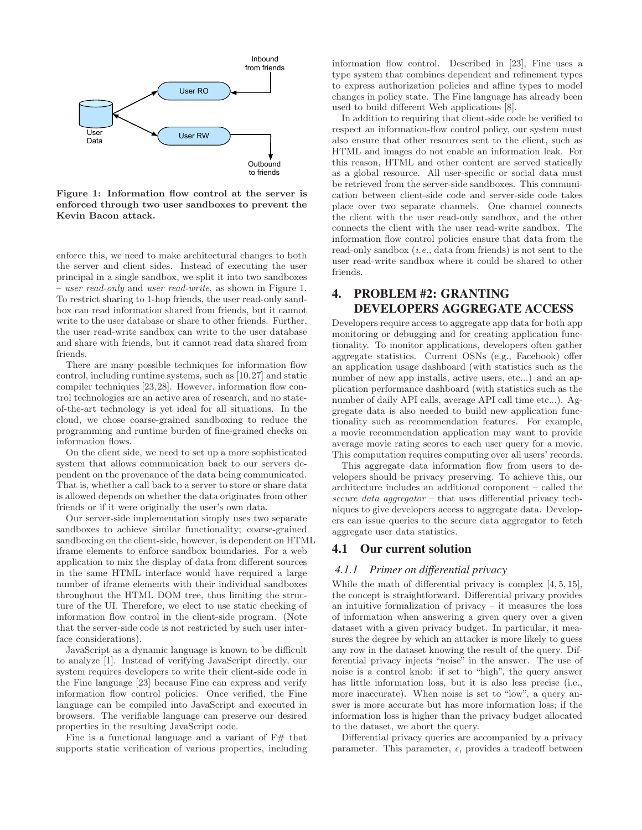

Figure 1: Information flow control at the server is enforced through two user sandboxes to prevent the Kevin Bacon attack.

enforce this, we need to make architectural changes to both the server and client sides. Instead of executing the user principal in a single sandbox, we split it into two sandboxes – user read-only and user read-write, as shown in Figure 1. To restrict sharing to 1-hop friends, the user read-only sandbox can read information shared from friends, but it cannot write to the user database or share to other friends. Further, the user read-write sandbox can write to the user database and share with friends, but it cannot read data shared from friends.

There are many possible techniques for information flow control, including runtime systems, such as [10,27] and static compiler techniques [23,28]. However, information flow control technologies are an active area of research, and no stateof-the-art technology is yet ideal for all situations. In the cloud, we chose coarse-grained sandboxing to reduce the programming and runtime burden of fine-grained checks on information flows.

On the client side, we need to set up a more sophisticated system that allows communication back to our servers dependent on the provenance of the data being communicated. That is, whether a call back to a server to store or share data is allowed depends on whether the data originates from other friends or if it were originally the user's own data.

Our server-side implementation simply uses two separate sandboxes to achieve similar functionality; coarse-grained sandboxing on the client-side, however, is dependent on HTML iframe elements to enforce sandbox boundaries. For a web application to mix the display of data from different sources in the same HTML interface would have required a large number of iframe elements with their individual sandboxes throughout the HTML DOM tree, thus limiting the structure of the UI. Therefore, we elect to use static checking of information flow control in the client-side program. (Note that the server-side code is not restricted by such user interface considerations).

JavaScript as a dynamic language is known to be difficult to analyze [1]. Instead of verifying JavaScript directly, our system requires developers to write their client-side code in the Fine language [23] because Fine can express and verify information flow control policies. Once verified, the Fine language can be compiled into JavaScript and executed in browsers. The verifiable language can preserve our desired properties in the resulting JavaScript code.

Fine is a functional language and a variant of  $F#$  that supports static verification of various properties, including information flow control. Described in [23], Fine uses a type system that combines dependent and refinement types to express authorization policies and affine types to model changes in policy state. The Fine language has already been used to build different Web applications [8].

In addition to requiring that client-side code be verified to respect an information-flow control policy, our system must also ensure that other resources sent to the client, such as HTML and images do not enable an information leak. For this reason, HTML and other content are served statically as a global resource. All user-specific or social data must be retrieved from the server-side sandboxes. This communication between client-side code and server-side code takes place over two separate channels. One channel connects the client with the user read-only sandbox, and the other connects the client with the user read-write sandbox. The information flow control policies ensure that data from the read-only sandbox  $(i.e., data from friends)$  is not sent to the user read-write sandbox where it could be shared to other friends.

# **4. PROBLEM #2: GRANTING DEVELOPERS AGGREGATE ACCESS**

Developers require access to aggregate app data for both app monitoring or debugging and for creating application functionality. To monitor applications, developers often gather aggregate statistics. Current OSNs (e.g., Facebook) offer an application usage dashboard (with statistics such as the number of new app installs, active users, etc...) and an application performance dashboard (with statistics such as the number of daily API calls, average API call time etc...). Aggregate data is also needed to build new application functionality such as recommendation features. For example, a movie recommendation application may want to provide average movie rating scores to each user query for a movie. This computation requires computing over all users' records.

This aggregate data information flow from users to developers should be privacy preserving. To achieve this, our architecture includes an additional component – called the secure data aggregator – that uses differential privacy techniques to give developers access to aggregate data. Developers can issue queries to the secure data aggregator to fetch aggregate user data statistics.

## **4.1 Our current solution**

### *4.1.1 Primer on differential privacy*

While the math of differential privacy is complex [4, 5, 15], the concept is straightforward. Differential privacy provides an intuitive formalization of privacy – it measures the loss of information when answering a given query over a given dataset with a given privacy budget. In particular, it measures the degree by which an attacker is more likely to guess any row in the dataset knowing the result of the query. Differential privacy injects "noise" in the answer. The use of noise is a control knob: if set to "high", the query answer has little information loss, but it is also less precise (i.e., more inaccurate). When noise is set to "low", a query answer is more accurate but has more information loss; if the information loss is higher than the privacy budget allocated to the dataset, we abort the query.

Differential privacy queries are accompanied by a privacy parameter. This parameter,  $\epsilon$ , provides a tradeoff between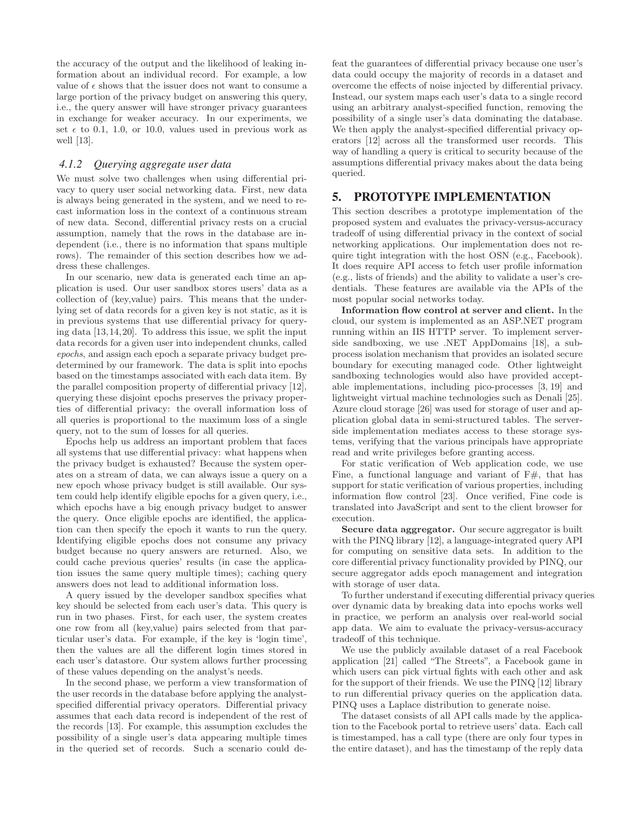the accuracy of the output and the likelihood of leaking information about an individual record. For example, a low value of  $\epsilon$  shows that the issuer does not want to consume a large portion of the privacy budget on answering this query, i.e., the query answer will have stronger privacy guarantees in exchange for weaker accuracy. In our experiments, we set  $\epsilon$  to 0.1, 1.0, or 10.0, values used in previous work as well [13].

#### *4.1.2 Querying aggregate user data*

We must solve two challenges when using differential privacy to query user social networking data. First, new data is always being generated in the system, and we need to recast information loss in the context of a continuous stream of new data. Second, differential privacy rests on a crucial assumption, namely that the rows in the database are independent (i.e., there is no information that spans multiple rows). The remainder of this section describes how we address these challenges.

In our scenario, new data is generated each time an application is used. Our user sandbox stores users' data as a collection of (key,value) pairs. This means that the underlying set of data records for a given key is not static, as it is in previous systems that use differential privacy for querying data [13,14,20]. To address this issue, we split the input data records for a given user into independent chunks, called epochs, and assign each epoch a separate privacy budget predetermined by our framework. The data is split into epochs based on the timestamps associated with each data item. By the parallel composition property of differential privacy [12], querying these disjoint epochs preserves the privacy properties of differential privacy: the overall information loss of all queries is proportional to the maximum loss of a single query, not to the sum of losses for all queries.

Epochs help us address an important problem that faces all systems that use differential privacy: what happens when the privacy budget is exhausted? Because the system operates on a stream of data, we can always issue a query on a new epoch whose privacy budget is still available. Our system could help identify eligible epochs for a given query, i.e., which epochs have a big enough privacy budget to answer the query. Once eligible epochs are identified, the application can then specify the epoch it wants to run the query. Identifying eligible epochs does not consume any privacy budget because no query answers are returned. Also, we could cache previous queries' results (in case the application issues the same query multiple times); caching query answers does not lead to additional information loss.

A query issued by the developer sandbox specifies what key should be selected from each user's data. This query is run in two phases. First, for each user, the system creates one row from all (key,value) pairs selected from that particular user's data. For example, if the key is 'login time', then the values are all the different login times stored in each user's datastore. Our system allows further processing of these values depending on the analyst's needs.

In the second phase, we perform a view transformation of the user records in the database before applying the analystspecified differential privacy operators. Differential privacy assumes that each data record is independent of the rest of the records [13]. For example, this assumption excludes the possibility of a single user's data appearing multiple times in the queried set of records. Such a scenario could defeat the guarantees of differential privacy because one user's data could occupy the majority of records in a dataset and overcome the effects of noise injected by differential privacy. Instead, our system maps each user's data to a single record using an arbitrary analyst-specified function, removing the possibility of a single user's data dominating the database. We then apply the analyst-specified differential privacy operators [12] across all the transformed user records. This way of handling a query is critical to security because of the assumptions differential privacy makes about the data being queried.

# **5. PROTOTYPE IMPLEMENTATION**

This section describes a prototype implementation of the proposed system and evaluates the privacy-versus-accuracy tradeoff of using differential privacy in the context of social networking applications. Our implementation does not require tight integration with the host OSN (e.g., Facebook). It does require API access to fetch user profile information (e.g., lists of friends) and the ability to validate a user's credentials. These features are available via the APIs of the most popular social networks today.

Information flow control at server and client. In the cloud, our system is implemented as an ASP.NET program running within an IIS HTTP server. To implement serverside sandboxing, we use .NET AppDomains [18], a subprocess isolation mechanism that provides an isolated secure boundary for executing managed code. Other lightweight sandboxing technologies would also have provided acceptable implementations, including pico-processes [3, 19] and lightweight virtual machine technologies such as Denali [25]. Azure cloud storage [26] was used for storage of user and application global data in semi-structured tables. The serverside implementation mediates access to these storage systems, verifying that the various principals have appropriate read and write privileges before granting access.

For static verification of Web application code, we use Fine, a functional language and variant of  $F#$ , that has support for static verification of various properties, including information flow control [23]. Once verified, Fine code is translated into JavaScript and sent to the client browser for execution.

Secure data aggregator. Our secure aggregator is built with the PINQ library [12], a language-integrated query API for computing on sensitive data sets. In addition to the core differential privacy functionality provided by PINQ, our secure aggregator adds epoch management and integration with storage of user data.

To further understand if executing differential privacy queries over dynamic data by breaking data into epochs works well in practice, we perform an analysis over real-world social app data. We aim to evaluate the privacy-versus-accuracy tradeoff of this technique.

We use the publicly available dataset of a real Facebook application [21] called "The Streets", a Facebook game in which users can pick virtual fights with each other and ask for the support of their friends. We use the PINQ [12] library to run differential privacy queries on the application data. PINQ uses a Laplace distribution to generate noise.

The dataset consists of all API calls made by the application to the Facebook portal to retrieve users' data. Each call is timestamped, has a call type (there are only four types in the entire dataset), and has the timestamp of the reply data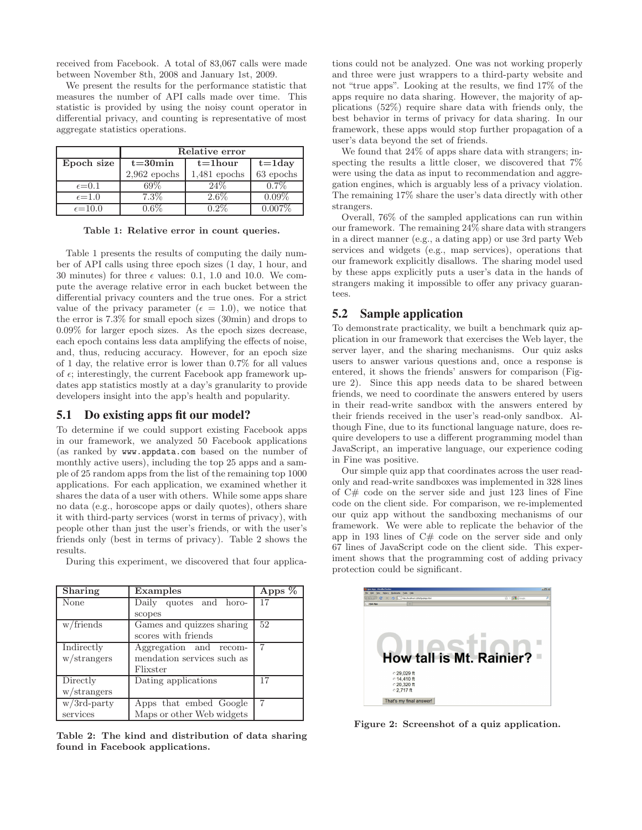received from Facebook. A total of 83,067 calls were made between November 8th, 2008 and January 1st, 2009.

We present the results for the performance statistic that measures the number of API calls made over time. This statistic is provided by using the noisy count operator in differential privacy, and counting is representative of most aggregate statistics operations.

|                   | Relative error |                |             |  |
|-------------------|----------------|----------------|-------------|--|
| Epoch size        | $t = 30$ min   | $t = 1$ hour   | $t = 1$ day |  |
|                   | $2,962$ epochs | $1,481$ epochs | 63 epochs   |  |
| $\epsilon = 0.1$  | 69%            | 24%            | $0.7\%$     |  |
| $\epsilon = 1.0$  | $7.3\%$        | $2.6\%$        | $0.09\%$    |  |
| $\epsilon = 10.0$ |                |                |             |  |

Table 1: Relative error in count queries.

Table 1 presents the results of computing the daily number of API calls using three epoch sizes (1 day, 1 hour, and 30 minutes) for three  $\epsilon$  values: 0.1, 1.0 and 10.0. We compute the average relative error in each bucket between the differential privacy counters and the true ones. For a strict value of the privacy parameter ( $\epsilon = 1.0$ ), we notice that the error is 7.3% for small epoch sizes (30min) and drops to 0.09% for larger epoch sizes. As the epoch sizes decrease, each epoch contains less data amplifying the effects of noise, and, thus, reducing accuracy. However, for an epoch size of 1 day, the relative error is lower than 0.7% for all values of  $\epsilon$ ; interestingly, the current Facebook app framework updates app statistics mostly at a day's granularity to provide developers insight into the app's health and popularity.

## **5.1 Do existing apps fit our model?**

To determine if we could support existing Facebook apps in our framework, we analyzed 50 Facebook applications (as ranked by www.appdata.com based on the number of monthly active users), including the top 25 apps and a sample of 25 random apps from the list of the remaining top 1000 applications. For each application, we examined whether it shares the data of a user with others. While some apps share no data (e.g., horoscope apps or daily quotes), others share it with third-party services (worst in terms of privacy), with people other than just the user's friends, or with the user's friends only (best in terms of privacy). Table 2 shows the results.

| During this experiment, we discovered that four applica- |  |  |  |
|----------------------------------------------------------|--|--|--|
|----------------------------------------------------------|--|--|--|

| <b>Sharing</b> | Examples                   | Apps $%$ |
|----------------|----------------------------|----------|
| None           | Daily quotes and horo-     | 17       |
|                | scopes                     |          |
| w/friends      | Games and quizzes sharing  | 52       |
|                | scores with friends        |          |
| Indirectly     | Aggregation and recom-     |          |
| w/strangers    | mendation services such as |          |
|                | Flixster                   |          |
| Directly       | Dating applications        | 17       |
| w/strangers    |                            |          |
| $w/3$ rd-party | Apps that embed Google     |          |
| services       | Maps or other Web widgets  |          |

Table 2: The kind and distribution of data sharing found in Facebook applications.

tions could not be analyzed. One was not working properly and three were just wrappers to a third-party website and not "true apps". Looking at the results, we find 17% of the apps require no data sharing. However, the majority of applications (52%) require share data with friends only, the best behavior in terms of privacy for data sharing. In our framework, these apps would stop further propagation of a user's data beyond the set of friends.

We found that  $24\%$  of apps share data with strangers; inspecting the results a little closer, we discovered that 7% were using the data as input to recommendation and aggregation engines, which is arguably less of a privacy violation. The remaining 17% share the user's data directly with other strangers.

Overall, 76% of the sampled applications can run within our framework. The remaining 24% share data with strangers in a direct manner (e.g., a dating app) or use 3rd party Web services and widgets (e.g., map services), operations that our framework explicitly disallows. The sharing model used by these apps explicitly puts a user's data in the hands of strangers making it impossible to offer any privacy guarantees.

### **5.2 Sample application**

To demonstrate practicality, we built a benchmark quiz application in our framework that exercises the Web layer, the server layer, and the sharing mechanisms. Our quiz asks users to answer various questions and, once a response is entered, it shows the friends' answers for comparison (Figure 2). Since this app needs data to be shared between friends, we need to coordinate the answers entered by users in their read-write sandbox with the answers entered by their friends received in the user's read-only sandbox. Although Fine, due to its functional language nature, does require developers to use a different programming model than JavaScript, an imperative language, our experience coding in Fine was positive.

Our simple quiz app that coordinates across the user readonly and read-write sandboxes was implemented in 328 lines of C# code on the server side and just 123 lines of Fine code on the client side. For comparison, we re-implemented our quiz app without the sandboxing mechanisms of our framework. We were able to replicate the behavior of the app in 193 lines of C# code on the server side and only 67 lines of JavaScript code on the client side. This experiment shows that the programming cost of adding privacy protection could be significant.



Figure 2: Screenshot of a quiz application.